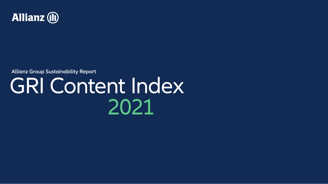

**Allianz Group Sustainability Report**

# GRI Content Index 2021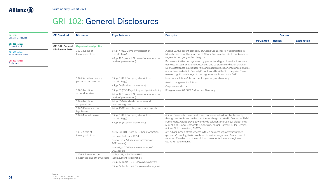<span id="page-1-0"></span>

### GRI 102: General Disclosures

| <b>GRI 102:</b>                                                                 | <b>GRI Standard</b>     | <b>Disclosure</b>                                   | <b>Page Reference</b>                                                                                                    | <b>Description</b>                                                                                                                                                                                                                                                                                                                                                                                        |                     | Omission |                    |
|---------------------------------------------------------------------------------|-------------------------|-----------------------------------------------------|--------------------------------------------------------------------------------------------------------------------------|-----------------------------------------------------------------------------------------------------------------------------------------------------------------------------------------------------------------------------------------------------------------------------------------------------------------------------------------------------------------------------------------------------------|---------------------|----------|--------------------|
| <b>General Disclosures</b>                                                      |                         |                                                     |                                                                                                                          |                                                                                                                                                                                                                                                                                                                                                                                                           | <b>Part Omitted</b> | Reason   | <b>Explanation</b> |
| <b>GRI 200 series:</b><br><b>Economic topics</b>                                | <b>GRI 102: General</b> | <b>Organizational profile</b>                       |                                                                                                                          |                                                                                                                                                                                                                                                                                                                                                                                                           |                     |          |                    |
| <b>GRI 300 series:</b><br><b>Environmental topics</b><br><b>GRI 400 series:</b> | Disclosures 2016        | 102-1 Name of<br>the organization                   | SR, p. 7 (01.2 Company description<br>and strategy)<br>AR, p. 125 (Note 1, Nature of operations and                      | Allianz SE, the parent company of Allianz Group, has its headquarters in<br>Munich, Germany. The structure of Allianz Group reflects both our business<br>segments and geographical regions.                                                                                                                                                                                                              |                     |          |                    |
| Social topics                                                                   |                         |                                                     | basis of presentation)                                                                                                   | Business activities are organized by product and type of service: insurance<br>activities, asset management activities, and corporate and other activities.<br>Due to differences in products, risks, and capital allocation, insurance activities<br>are further divided into PropertyCasualty and Life/Health categories. There<br>were no significant changes to our organizational structure in 2021. |                     |          |                    |
|                                                                                 |                         | 102-2 Activities, brands,<br>products, and services | SR, p. 7 (01.2 Company description                                                                                       | Insurance solutions (life and health, property and casualty).                                                                                                                                                                                                                                                                                                                                             |                     |          |                    |
|                                                                                 |                         |                                                     | and strategy)<br>AR, p. 54 (Business operations)                                                                         | Asset management solutions.                                                                                                                                                                                                                                                                                                                                                                               |                     |          |                    |
|                                                                                 |                         |                                                     |                                                                                                                          | Corporate and other.                                                                                                                                                                                                                                                                                                                                                                                      |                     |          |                    |
|                                                                                 |                         | 102-3 Location<br>of headquarters                   | SR, p. 61 (03.3 Regulatory and public affairs)<br>AR, p. 125 (Note 1, Nature of operations and<br>basis of presentation) | Königinstrasse 28, 80802 München, Germany                                                                                                                                                                                                                                                                                                                                                                 |                     |          |                    |
|                                                                                 |                         | 102-4 Location<br>of operations                     | AR, p. 55 (Worldwide presence and<br>business segments)                                                                  |                                                                                                                                                                                                                                                                                                                                                                                                           |                     |          |                    |
|                                                                                 |                         | 102-5 Ownership and<br>legal form                   | AR, p. 15 (Corporate governance report)                                                                                  |                                                                                                                                                                                                                                                                                                                                                                                                           |                     |          |                    |
|                                                                                 |                         | 102-6 Markets served                                | SR, p. 7 (01.2 Company description<br>and strategy)<br>AR, p. 54 (Business operations)                                   | Allianz Group offers services to corporate and individual clients directly<br>through entities based in the countries and regions listed in Disclosure 102-4.<br>Futhermore, Allianz provides worldwide solutions through our global lines<br>(e.g. Allianz Global Corporate & Speciality, Allianz Partners, Euler Hermes,                                                                                |                     |          |                    |
|                                                                                 |                         | 102-7 Scale of<br>the organization                  | a.i.: AR, p. 181 (Note 42, Other information)<br>a.ii.: see disclosure 102-4                                             | Allianz Global Investors, PIMCO).<br>a.v.: Allianz Group offers services in three business segments: insurance<br>(property/casuality, life & health) and asset management. Products and                                                                                                                                                                                                                  |                     |          |                    |
|                                                                                 |                         |                                                     | a.iii.: AR, p. 77 (Executive summary of<br>2021 results)                                                                 | services offered around the world and are adapted to each region's/<br>country's requirements.                                                                                                                                                                                                                                                                                                            |                     |          |                    |
|                                                                                 |                         |                                                     | a.iv.: AR, p. 77 (Executive summary of<br>2021 results)                                                                  |                                                                                                                                                                                                                                                                                                                                                                                                           |                     |          |                    |
|                                                                                 |                         | 102-8 Information on<br>employees and other workers | a., b., c. SR, p. 38 Table HR-3<br>(Employment relationships)                                                            |                                                                                                                                                                                                                                                                                                                                                                                                           |                     |          |                    |
|                                                                                 |                         |                                                     | SR, p. 37 Table HR-1 (Employee overview)<br>SR, p. 37 Table HR-2 (Employees by region)                                   |                                                                                                                                                                                                                                                                                                                                                                                                           |                     |          |                    |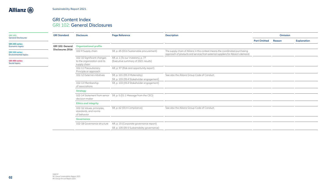#### GRI Content Index GRI 102: General Disclosures

**GRI Standard Disclosure Page Reference Description Omission Part Omitted Reason Explanation GRI 102: General Disclosures 2016 Organizational profile** 102-9 Supply chain SR, p. 65 (03.6 Sustainable procurement) The supply chain of Allianz in this context means the coordinated purchasing approach of products and services from external suppliers for Allianz´s demand. 102-10 Significant changes to the organization and its supply chain AR, p. 1 (To our investors), p. 77 (Executive summary of 2021 results) 102-11 Precautionary Principle or approach AR, p. 97 (Risk and opportunity report) 102-12 External initiatives SR, p. 101 (05.3 Materiality) SR, p. 103 (05.4 Stakeholder engagement) See also the Allianz Group Code of Conduct. 102-13 Membership of associations SR, p. 103 (05.4 Stakeholder engagement) **Strategy** 102-14 Statement from senior SR, p. 5 (01.1 Message from the CEO) decision-maker **Ethics and integrity** 102-16 Values, principles, standards, and norms of behavior SR, p. 62 (03.4 Compliance) See also the Allianz Group Code of Conduct. **Governance** 102-18 Governance structure AR, p. 15 (Corporate governance report) SR, p. 105 (05.5 Sustainability governance) **[GRI 102:](#page-1-0)**  [General Disclosures](#page-1-0) **[GRI 200 series:](#page-5-0)**  [Economic topics](#page-5-0) **[GRI 300 series:](#page-8-0)**  [Environmental topics](#page-8-0) **[GRI 400 series:](#page-13-0)**  [Social topics](#page-13-0)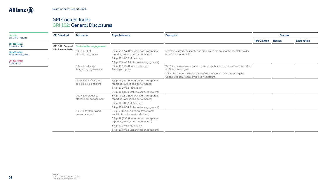#### GRI Content Index GRI 102: General Disclosures

| <b>GRI 102:</b><br><b>General Disclosures</b>         | <b>GRI Standard</b>     | <b>Disclosure</b>                                | <b>Page Reference</b>                                                             | <b>Description</b>                                                                                                       |                     | <b>Omission</b> |                    |
|-------------------------------------------------------|-------------------------|--------------------------------------------------|-----------------------------------------------------------------------------------|--------------------------------------------------------------------------------------------------------------------------|---------------------|-----------------|--------------------|
|                                                       |                         |                                                  |                                                                                   |                                                                                                                          | <b>Part Omitted</b> | Reason          | <b>Explanation</b> |
| <b>GRI 200 series:</b><br>Economic topics             | <b>GRI 102: General</b> | <b>Stakeholder engagement</b>                    |                                                                                   |                                                                                                                          |                     |                 |                    |
| <b>GRI 300 series:</b><br><b>Environmental topics</b> | Disclosures 2016        | 102-40 List of<br>stakeholder groups             | SR, p. 99 (05.2 How we report: transparent<br>reporting, ratings and performance) | Investors, customers, society and employees are among the key stakeholder<br>group we engage with.                       |                     |                 |                    |
|                                                       |                         |                                                  | SR, p. 101 (05.3 Materiality)                                                     |                                                                                                                          |                     |                 |                    |
| <b>GRI 400 series:</b><br>Social topics               |                         |                                                  | SR, p. 103 (05.4 Stakeholder engagement)                                          |                                                                                                                          |                     |                 |                    |
|                                                       |                         | 102-41 Collective<br>bargaining agreements       | SR, p. 46 (02.4 Human resources:<br>Employee rights)                              | 97,599 employees are covered by collective bargaining agreements, 62,8% of<br>all Allianz employees.                     |                     |                 |                    |
|                                                       |                         |                                                  |                                                                                   | This is the contracted head count of all countries in the EU including the<br>United Kingdom/total contracted headcount. |                     |                 |                    |
|                                                       |                         | 102-42 Identifying and<br>selecting stakeholders | SR, p. 99 (05.2 How we report: transparent<br>reporting, ratings and performance) |                                                                                                                          |                     |                 |                    |
|                                                       |                         |                                                  | SR, p. 101 (05.3 Materiality)                                                     |                                                                                                                          |                     |                 |                    |
|                                                       |                         |                                                  | SR, p. 103 (05.4 Stakeholder engagement)                                          |                                                                                                                          |                     |                 |                    |
|                                                       |                         | 102-43 Approach to<br>stakeholder engagement     | SR, p. 99 (05.2 How we report: transparent<br>reporting, ratings and performance) |                                                                                                                          |                     |                 |                    |
|                                                       |                         |                                                  | SR, p. 101 (05.3 Materiality)                                                     |                                                                                                                          |                     |                 |                    |
|                                                       |                         |                                                  | SR, p. 103 (05.4 Stakeholder engagement)                                          |                                                                                                                          |                     |                 |                    |
|                                                       |                         | 102-44 Key topics and<br>concerns raised         | SR, p. 9 (01.4.3 Our commitments and<br>contributions to our stakeholders)        |                                                                                                                          |                     |                 |                    |
|                                                       |                         |                                                  | SR, p. 99 (05.2 How we report: transparent<br>reporting, ratings and performance) |                                                                                                                          |                     |                 |                    |
|                                                       |                         |                                                  | SR, p. 101 (05.3 Materiality)                                                     |                                                                                                                          |                     |                 |                    |
|                                                       |                         |                                                  | SR, p. 103 (05.4 Stakeholder engagement)                                          |                                                                                                                          |                     |                 |                    |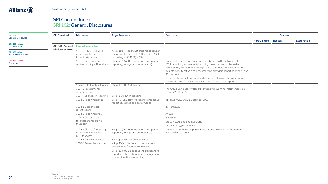#### GRI Content Index GRI 102: General Disclosures

| <b>Part Omitted</b><br><b>Explanation</b><br>Reason<br><b>GRI 200 series:</b><br><b>GRI 102: General</b><br><b>Reporting practice</b><br>Economic topics<br><b>Disclosures 2016</b><br>102-45 Entities included<br>AR, p. 183 (Note 44, List of participations of<br><b>GRI 300 series:</b><br>the Allianz Group as of 31 December 2021<br>in the consolidated<br><b>Environmental topics</b><br>according to § 313 (2) HGB)<br>financial statements<br><b>GRI 400 series:</b><br>102-46 Defining report<br>Our report content and boundaries are based on the outcomes of the<br>SR, p. 99 (05.2 How we report: transparent<br>Social topics<br>2021 materiality assessment (including the associated stakeholder<br>content and topic Boundaries<br>reporting, ratings and performance)<br>consultation). Furthermore, our report includes topics defined as material<br>by sustainability rating and benchmarking providers, reporting experts and<br>SRI analysts.<br>Based on this input from our stakeholders and the reporting principles<br>outlined in GRI 101, we have defined the content of this report.<br>SR, p. 101 (05.3 Materiality)<br>102-47 List of material topics<br>102-48 Restatements<br>The Group Sustainability Report contains various minor restatements on<br>of information<br>pages 22, 52, 54, 87<br>102-49 Changes in reporting<br>SR, p. 3 (About this report)<br>SR, p. 99 (05.2 How we report: transparent<br>01 January 2021 to 31 December 2021<br>102-50 Reporting period<br>reporting, ratings and performance)<br>102-51 Date of most<br>29 April 2022<br>recent report<br>102-52 Reporting cycle<br>Annual<br>102-53 Contact point<br>Allianz SE<br>for questions regarding<br>Group Accounting and Reporting<br>the report<br>sustainability@allianz.com<br>102-54 Claims of reporting<br>SR, p. 99 (05.2 How we report: transparent<br>This report has been prepared in accordance with the GRI Standards:<br>in accordance with the<br>reporting, ratings and performance)<br>In accordance - Core<br><b>GRI Standards</b><br>102-55 GRI content index<br>SR, Appendix, GRI Content Index<br>AR, p. 10 (Audit of annual accounts and<br>102-56 External assurance<br>consolidated financial statements)<br>SR, p. 110 (05.8 Independent practitioner's<br>report on a limited assurance engagement<br>on sustainability information) | <b>GRI 102:</b><br><b>General Disclosures</b> | <b>GRI Standard</b> | <b>Disclosure</b> | <b>Page Reference</b> | <b>Description</b> | Omission |  |
|------------------------------------------------------------------------------------------------------------------------------------------------------------------------------------------------------------------------------------------------------------------------------------------------------------------------------------------------------------------------------------------------------------------------------------------------------------------------------------------------------------------------------------------------------------------------------------------------------------------------------------------------------------------------------------------------------------------------------------------------------------------------------------------------------------------------------------------------------------------------------------------------------------------------------------------------------------------------------------------------------------------------------------------------------------------------------------------------------------------------------------------------------------------------------------------------------------------------------------------------------------------------------------------------------------------------------------------------------------------------------------------------------------------------------------------------------------------------------------------------------------------------------------------------------------------------------------------------------------------------------------------------------------------------------------------------------------------------------------------------------------------------------------------------------------------------------------------------------------------------------------------------------------------------------------------------------------------------------------------------------------------------------------------------------------------------------------------------------------------------------------------------------------------------------------------------------------------------------------------------------------------------------------------------------------------------------------------------------------------------------------|-----------------------------------------------|---------------------|-------------------|-----------------------|--------------------|----------|--|
|                                                                                                                                                                                                                                                                                                                                                                                                                                                                                                                                                                                                                                                                                                                                                                                                                                                                                                                                                                                                                                                                                                                                                                                                                                                                                                                                                                                                                                                                                                                                                                                                                                                                                                                                                                                                                                                                                                                                                                                                                                                                                                                                                                                                                                                                                                                                                                                    |                                               |                     |                   |                       |                    |          |  |
|                                                                                                                                                                                                                                                                                                                                                                                                                                                                                                                                                                                                                                                                                                                                                                                                                                                                                                                                                                                                                                                                                                                                                                                                                                                                                                                                                                                                                                                                                                                                                                                                                                                                                                                                                                                                                                                                                                                                                                                                                                                                                                                                                                                                                                                                                                                                                                                    |                                               |                     |                   |                       |                    |          |  |
|                                                                                                                                                                                                                                                                                                                                                                                                                                                                                                                                                                                                                                                                                                                                                                                                                                                                                                                                                                                                                                                                                                                                                                                                                                                                                                                                                                                                                                                                                                                                                                                                                                                                                                                                                                                                                                                                                                                                                                                                                                                                                                                                                                                                                                                                                                                                                                                    |                                               |                     |                   |                       |                    |          |  |
|                                                                                                                                                                                                                                                                                                                                                                                                                                                                                                                                                                                                                                                                                                                                                                                                                                                                                                                                                                                                                                                                                                                                                                                                                                                                                                                                                                                                                                                                                                                                                                                                                                                                                                                                                                                                                                                                                                                                                                                                                                                                                                                                                                                                                                                                                                                                                                                    |                                               |                     |                   |                       |                    |          |  |
|                                                                                                                                                                                                                                                                                                                                                                                                                                                                                                                                                                                                                                                                                                                                                                                                                                                                                                                                                                                                                                                                                                                                                                                                                                                                                                                                                                                                                                                                                                                                                                                                                                                                                                                                                                                                                                                                                                                                                                                                                                                                                                                                                                                                                                                                                                                                                                                    |                                               |                     |                   |                       |                    |          |  |
|                                                                                                                                                                                                                                                                                                                                                                                                                                                                                                                                                                                                                                                                                                                                                                                                                                                                                                                                                                                                                                                                                                                                                                                                                                                                                                                                                                                                                                                                                                                                                                                                                                                                                                                                                                                                                                                                                                                                                                                                                                                                                                                                                                                                                                                                                                                                                                                    |                                               |                     |                   |                       |                    |          |  |
|                                                                                                                                                                                                                                                                                                                                                                                                                                                                                                                                                                                                                                                                                                                                                                                                                                                                                                                                                                                                                                                                                                                                                                                                                                                                                                                                                                                                                                                                                                                                                                                                                                                                                                                                                                                                                                                                                                                                                                                                                                                                                                                                                                                                                                                                                                                                                                                    |                                               |                     |                   |                       |                    |          |  |
|                                                                                                                                                                                                                                                                                                                                                                                                                                                                                                                                                                                                                                                                                                                                                                                                                                                                                                                                                                                                                                                                                                                                                                                                                                                                                                                                                                                                                                                                                                                                                                                                                                                                                                                                                                                                                                                                                                                                                                                                                                                                                                                                                                                                                                                                                                                                                                                    |                                               |                     |                   |                       |                    |          |  |
|                                                                                                                                                                                                                                                                                                                                                                                                                                                                                                                                                                                                                                                                                                                                                                                                                                                                                                                                                                                                                                                                                                                                                                                                                                                                                                                                                                                                                                                                                                                                                                                                                                                                                                                                                                                                                                                                                                                                                                                                                                                                                                                                                                                                                                                                                                                                                                                    |                                               |                     |                   |                       |                    |          |  |
|                                                                                                                                                                                                                                                                                                                                                                                                                                                                                                                                                                                                                                                                                                                                                                                                                                                                                                                                                                                                                                                                                                                                                                                                                                                                                                                                                                                                                                                                                                                                                                                                                                                                                                                                                                                                                                                                                                                                                                                                                                                                                                                                                                                                                                                                                                                                                                                    |                                               |                     |                   |                       |                    |          |  |
|                                                                                                                                                                                                                                                                                                                                                                                                                                                                                                                                                                                                                                                                                                                                                                                                                                                                                                                                                                                                                                                                                                                                                                                                                                                                                                                                                                                                                                                                                                                                                                                                                                                                                                                                                                                                                                                                                                                                                                                                                                                                                                                                                                                                                                                                                                                                                                                    |                                               |                     |                   |                       |                    |          |  |
|                                                                                                                                                                                                                                                                                                                                                                                                                                                                                                                                                                                                                                                                                                                                                                                                                                                                                                                                                                                                                                                                                                                                                                                                                                                                                                                                                                                                                                                                                                                                                                                                                                                                                                                                                                                                                                                                                                                                                                                                                                                                                                                                                                                                                                                                                                                                                                                    |                                               |                     |                   |                       |                    |          |  |
|                                                                                                                                                                                                                                                                                                                                                                                                                                                                                                                                                                                                                                                                                                                                                                                                                                                                                                                                                                                                                                                                                                                                                                                                                                                                                                                                                                                                                                                                                                                                                                                                                                                                                                                                                                                                                                                                                                                                                                                                                                                                                                                                                                                                                                                                                                                                                                                    |                                               |                     |                   |                       |                    |          |  |
|                                                                                                                                                                                                                                                                                                                                                                                                                                                                                                                                                                                                                                                                                                                                                                                                                                                                                                                                                                                                                                                                                                                                                                                                                                                                                                                                                                                                                                                                                                                                                                                                                                                                                                                                                                                                                                                                                                                                                                                                                                                                                                                                                                                                                                                                                                                                                                                    |                                               |                     |                   |                       |                    |          |  |
|                                                                                                                                                                                                                                                                                                                                                                                                                                                                                                                                                                                                                                                                                                                                                                                                                                                                                                                                                                                                                                                                                                                                                                                                                                                                                                                                                                                                                                                                                                                                                                                                                                                                                                                                                                                                                                                                                                                                                                                                                                                                                                                                                                                                                                                                                                                                                                                    |                                               |                     |                   |                       |                    |          |  |
|                                                                                                                                                                                                                                                                                                                                                                                                                                                                                                                                                                                                                                                                                                                                                                                                                                                                                                                                                                                                                                                                                                                                                                                                                                                                                                                                                                                                                                                                                                                                                                                                                                                                                                                                                                                                                                                                                                                                                                                                                                                                                                                                                                                                                                                                                                                                                                                    |                                               |                     |                   |                       |                    |          |  |
|                                                                                                                                                                                                                                                                                                                                                                                                                                                                                                                                                                                                                                                                                                                                                                                                                                                                                                                                                                                                                                                                                                                                                                                                                                                                                                                                                                                                                                                                                                                                                                                                                                                                                                                                                                                                                                                                                                                                                                                                                                                                                                                                                                                                                                                                                                                                                                                    |                                               |                     |                   |                       |                    |          |  |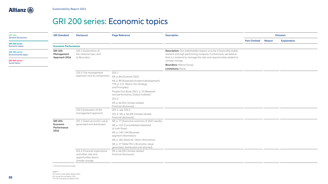<span id="page-5-0"></span>

## GRI 200 series: Economic topics

| <b>GRI 102:</b><br><b>General Disclosures</b>         | <b>GRI Standard</b>                            | <b>Disclosure</b>                                                                             | <b>Page Reference</b>                                                                              | <b>Description</b>                                                                                                                                                                                                   |                     |        | Omission           |
|-------------------------------------------------------|------------------------------------------------|-----------------------------------------------------------------------------------------------|----------------------------------------------------------------------------------------------------|----------------------------------------------------------------------------------------------------------------------------------------------------------------------------------------------------------------------|---------------------|--------|--------------------|
|                                                       |                                                |                                                                                               |                                                                                                    |                                                                                                                                                                                                                      | <b>Part Omitted</b> | Reason | <b>Explanation</b> |
| <b>GRI 200 series:</b><br>Economic topics             | <b>Economic Performance</b>                    |                                                                                               |                                                                                                    |                                                                                                                                                                                                                      |                     |        |                    |
| <b>GRI 300 series:</b><br><b>Environmental topics</b> | <b>GRI 103:</b><br>Management<br>Approach 2016 | 103-1 Explanation of<br>the material topic and<br>its Boundary                                |                                                                                                    | <b>Description:</b> Our stakeholders expect us to be a financially stable,<br>resilient and high-performing company. Furthermore, we believe<br>that it is material to manage the risks and opportunities related to |                     |        |                    |
| <b>GRI 400 series:</b><br>Social topics               |                                                |                                                                                               |                                                                                                    | climate change.                                                                                                                                                                                                      |                     |        |                    |
|                                                       |                                                |                                                                                               |                                                                                                    | <b>Boundary: Allianz Group.</b>                                                                                                                                                                                      |                     |        |                    |
|                                                       |                                                | 103-2 The management                                                                          | $201 - 1$                                                                                          | <b>Limitations: None.</b>                                                                                                                                                                                            |                     |        |                    |
|                                                       |                                                | approach and its components                                                                   | AR, p. 86 (Outlook 2022)                                                                           |                                                                                                                                                                                                                      |                     |        |                    |
|                                                       |                                                |                                                                                               | AR, p. 89 (Expected dividend development)<br>TTR, p. 2 (1. Allianz Tax Strategy<br>and Principles) |                                                                                                                                                                                                                      |                     |        |                    |
|                                                       |                                                |                                                                                               | People Fact Book 2021, p. 33 (Rewards<br>and performance, Global mobility) <sup>1</sup>            |                                                                                                                                                                                                                      |                     |        |                    |
|                                                       |                                                |                                                                                               | $201-2$                                                                                            |                                                                                                                                                                                                                      |                     |        |                    |
|                                                       |                                                |                                                                                               | SR, p. 66 (04 Climate-related<br>financial disclosure)                                             |                                                                                                                                                                                                                      |                     |        |                    |
|                                                       |                                                | 103-3 Evaluation of the                                                                       | 201-1: see 103-2                                                                                   |                                                                                                                                                                                                                      |                     |        |                    |
|                                                       |                                                | management approach                                                                           | 201-2: SR, p. 66 (04 Climate-related<br>financial disclosure)                                      |                                                                                                                                                                                                                      |                     |        |                    |
|                                                       | <b>GRI 201:</b>                                | 201-1 Direct economic value                                                                   | AR, p. 77 (Executive summary of 2021 results)                                                      |                                                                                                                                                                                                                      |                     |        |                    |
|                                                       | Economic<br>Performance                        | generated and distributed                                                                     | AR, p. 122 (Consolidated statement<br>of cash flows)                                               |                                                                                                                                                                                                                      |                     |        |                    |
|                                                       | 2016                                           |                                                                                               | AR, p. 140-144 (Business<br>segment information)                                                   |                                                                                                                                                                                                                      |                     |        |                    |
|                                                       |                                                |                                                                                               | AR, p. 181 (Note 42, Other information)                                                            |                                                                                                                                                                                                                      |                     |        |                    |
|                                                       |                                                |                                                                                               | SR, p. 17 Table FIN-1 (Economic value<br>generated, distributed and retained)                      |                                                                                                                                                                                                                      |                     |        |                    |
|                                                       |                                                | 201-2 Financial implications<br>and other risks and<br>opportunities due to<br>climate change | SR, p. 66 (04 Climate-related<br>financial disclosure)                                             |                                                                                                                                                                                                                      |                     |        |                    |

1 Not part of assurance scope.

Legend SR: Group Sustainability Report 2021 AR: Group Annual Report 2021 TTR: Tax Transparency Report 2021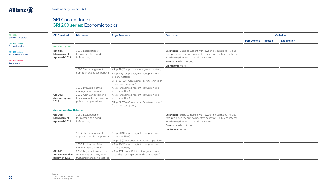#### GRI Content Index GRI 200 series: Economic topics

| <b>GRI 102:</b><br><b>General Disclosures</b>         | <b>GRI Standard</b>                            | <b>Disclosure</b>                                              | <b>Page Reference</b>                                                  | <b>Description</b>                                                                                                                                                                                 |                     |        | Omission           |
|-------------------------------------------------------|------------------------------------------------|----------------------------------------------------------------|------------------------------------------------------------------------|----------------------------------------------------------------------------------------------------------------------------------------------------------------------------------------------------|---------------------|--------|--------------------|
|                                                       |                                                |                                                                |                                                                        |                                                                                                                                                                                                    | <b>Part Omitted</b> | Reason | <b>Explanation</b> |
| <b>GRI 200 series:</b><br><b>Economic topics</b>      | <b>Anti-corruption</b>                         |                                                                |                                                                        |                                                                                                                                                                                                    |                     |        |                    |
| <b>GRI 300 series:</b><br><b>Environmental topics</b> | <b>GRI 103:</b><br>Management<br>Approach 2016 | 103-1 Explanation of<br>the material topic and<br>its Boundary |                                                                        | <b>Description:</b> Being compliant with laws and regulations (i.e. anti-<br>corruption, bribery, anti-competitive behavior) is a key priority for<br>us to to keep the trust of our stakeholders. |                     |        |                    |
| <b>GRI 400 series:</b><br>Social topics               |                                                |                                                                |                                                                        | <b>Boundary: Allianz Group.</b><br><b>Limitations: None.</b>                                                                                                                                       |                     |        |                    |
|                                                       |                                                | 103-2 The management                                           | AR, p. 18 (Compliance management system)                               |                                                                                                                                                                                                    |                     |        |                    |
|                                                       |                                                | approach and its components                                    | AR, p. 70 (Compliance/anti-corruption and<br>bribery matters)          |                                                                                                                                                                                                    |                     |        |                    |
|                                                       |                                                |                                                                | SR, p. 62 (03.4 Compliance: Zero tolerance of<br>fraud and corruption) |                                                                                                                                                                                                    |                     |        |                    |
|                                                       |                                                | 103-3 Evaluation of the<br>management approach                 | AR, p. 70 (Compliance/anti-corruption and<br>bribery matters)          |                                                                                                                                                                                                    |                     |        |                    |
|                                                       | <b>GRI 205:</b><br>Anti-corruption             | 205-2 Communication and<br>training about anti-corruption      | AR, p. 70 (Compliance/anti-corruption and<br>bribery matters)          |                                                                                                                                                                                                    |                     |        |                    |
|                                                       | 2016                                           | policies and procedures                                        | SR, p. 62 (03.4 Compliance: Zero tolerance of<br>fraud and corruption) |                                                                                                                                                                                                    |                     |        |                    |
|                                                       | <b>Anti-competitive Behavior</b>               |                                                                |                                                                        |                                                                                                                                                                                                    |                     |        |                    |
|                                                       | <b>GRI 103:</b><br>Management<br>Approach 2016 | 103-1 Explanation of<br>the material topic and<br>its Boundary |                                                                        | <b>Description:</b> Being compliant with laws and regulations (i.e. anti-<br>corruption, bribery, anti-competitive behavior) is a key priority for<br>us to to keep the trust of our stakeholders. |                     |        |                    |
|                                                       |                                                |                                                                |                                                                        | <b>Boundary: Allianz Group.</b>                                                                                                                                                                    |                     |        |                    |
|                                                       |                                                |                                                                |                                                                        | <b>Limitations: None.</b>                                                                                                                                                                          |                     |        |                    |
|                                                       |                                                | 103-2 The management<br>approach and its components            | AR, p. 70 (Compliance/anti-corruption and<br>bribery matters)          |                                                                                                                                                                                                    |                     |        |                    |
|                                                       |                                                |                                                                | SR, p. 63 (03.4 Compliance: Fair competition)                          |                                                                                                                                                                                                    |                     |        |                    |
|                                                       |                                                | 103-3 Evaluation of the<br>management approach                 | AR, p. 70 (Compliance/anti-corruption and<br>bribery matters)          |                                                                                                                                                                                                    |                     |        |                    |
|                                                       | <b>GRI 206:</b>                                | 206-1 Legal actions for anti-                                  | AR, p. 174 (Note 37, Litigation, guarantees,                           |                                                                                                                                                                                                    |                     |        |                    |
|                                                       | Anti-competitive<br><b>Behavior 2016</b>       | competitive behavior, anti-<br>trust, and monopoly practices   | and other contingencies and commitments)                               |                                                                                                                                                                                                    |                     |        |                    |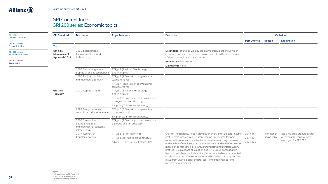#### GRI Content Index GRI 200 series: Economic topics

| <b>GRI 102:</b>                                       | <b>GRI Standard</b>                            | <b>Disclosure</b>                                                               | <b>Page Reference</b>                                                                                                                                                                                                                                                                                                                                                                                                                                         | <b>Description</b>                                                                                                                                                                    |                     |                        | Omission                      |
|-------------------------------------------------------|------------------------------------------------|---------------------------------------------------------------------------------|---------------------------------------------------------------------------------------------------------------------------------------------------------------------------------------------------------------------------------------------------------------------------------------------------------------------------------------------------------------------------------------------------------------------------------------------------------------|---------------------------------------------------------------------------------------------------------------------------------------------------------------------------------------|---------------------|------------------------|-------------------------------|
| <b>General Disclosures</b>                            |                                                |                                                                                 |                                                                                                                                                                                                                                                                                                                                                                                                                                                               |                                                                                                                                                                                       | <b>Part Omitted</b> | Reason                 | <b>Explanation</b>            |
| <b>GRI 200 series:</b><br><b>Economic topics</b>      | <b>Tax</b>                                     |                                                                                 |                                                                                                                                                                                                                                                                                                                                                                                                                                                               |                                                                                                                                                                                       |                     |                        |                               |
| <b>GRI 300 series:</b><br><b>Environmental topics</b> | <b>GRI 103:</b><br>Management<br>Approach 2016 | 103-1 Explanation of<br>the material topic and<br>its Boundary                  |                                                                                                                                                                                                                                                                                                                                                                                                                                                               | <b>Description:</b> The taxes we pay are an important part of our wider<br>economic and social impact and play a key role in the development<br>of the countries in which we operate. |                     |                        |                               |
| <b>GRI 400 series:</b><br>Social topics               |                                                |                                                                                 |                                                                                                                                                                                                                                                                                                                                                                                                                                                               | <b>Boundary: Allianz Group.</b>                                                                                                                                                       |                     |                        |                               |
|                                                       |                                                |                                                                                 |                                                                                                                                                                                                                                                                                                                                                                                                                                                               | <b>Limitations: None.</b>                                                                                                                                                             |                     |                        |                               |
|                                                       |                                                | 103-2 The management<br>approach and its components                             | TTR, p. 2 (1. Allianz Tax Strategy<br>and Principles)                                                                                                                                                                                                                                                                                                                                                                                                         |                                                                                                                                                                                       |                     |                        |                               |
|                                                       |                                                | 103-3 Evaluation of the<br>management approach                                  | TTR, p. 3 (2. Tax risk management and<br>tax governance)                                                                                                                                                                                                                                                                                                                                                                                                      |                                                                                                                                                                                       |                     |                        |                               |
|                                                       |                                                |                                                                                 | TTR, p. 4 (Tax risk management and<br>tax governance)                                                                                                                                                                                                                                                                                                                                                                                                         |                                                                                                                                                                                       |                     |                        |                               |
|                                                       | <b>GRI 207:</b><br><b>Tax 2019</b>             | 207-1 Approach to tax                                                           | TTR, p. 2 (1. Allianz Tax Strategy<br>and Principles)                                                                                                                                                                                                                                                                                                                                                                                                         |                                                                                                                                                                                       |                     |                        |                               |
|                                                       |                                                |                                                                                 | TTR, p. 4 (3. Tax compliance, stakeholder<br>dialogue and tax advocacy)                                                                                                                                                                                                                                                                                                                                                                                       |                                                                                                                                                                                       |                     |                        |                               |
|                                                       |                                                |                                                                                 | SR, p. 64 (03.5 Tax transparency)                                                                                                                                                                                                                                                                                                                                                                                                                             |                                                                                                                                                                                       |                     |                        |                               |
|                                                       |                                                | 207-2 Tax governance,                                                           | TTR, p. 3 (2. Tax risk management and                                                                                                                                                                                                                                                                                                                                                                                                                         |                                                                                                                                                                                       |                     |                        |                               |
|                                                       |                                                | control, and risk management tax governance)                                    |                                                                                                                                                                                                                                                                                                                                                                                                                                                               |                                                                                                                                                                                       |                     |                        |                               |
|                                                       |                                                |                                                                                 | SR, p. 64 (03.5 Tax transparency)                                                                                                                                                                                                                                                                                                                                                                                                                             |                                                                                                                                                                                       |                     |                        |                               |
|                                                       |                                                | 207-3 Stakeholder<br>engagement and<br>management of concerns<br>related to tax | TTR, p. 4 (3. Tax compliance, stakeholder<br>dialogue and tax advocacy)                                                                                                                                                                                                                                                                                                                                                                                       |                                                                                                                                                                                       |                     |                        |                               |
|                                                       |                                                | 207-4 Country-by-                                                               | TTR, p. 6 (5. Tax reporting)                                                                                                                                                                                                                                                                                                                                                                                                                                  | Our Tax Transparency Report provides an overview of the total income,                                                                                                                 | 207-4-b-iv          | Information            | Required data granularity not |
|                                                       |                                                | Country reporting                                                               | TTR, p. 11 (6. Allianz group structure)                                                                                                                                                                                                                                                                                                                                                                                                                       | profit before income taxes, current income tax, income tax paid,                                                                                                                      | $207 - 4 - b - v$   | unavailable            | yet available, improvements   |
|                                                       |                                                | Allianz TTR Constituent Entities 2021                                           | expected income tax rate, effective income tax rate, tangible assets                                                                                                                                                                                                                                                                                                                                                                                          | $207 - 4 - b - x$                                                                                                                                                                     |                     | envisaged for SR 2022. |                               |
|                                                       |                                                |                                                                                 | and number of employees per certain countries and the Group in total<br>(based on consolidated IFRS Group financials without intercompany<br>profit/loss/reinsurance elimination and IFRS Group consolidation<br>hierarchy which can include entities//investments/branches situated<br>in other countries). Omissions to certain GRI 207-4 data requirements<br>result from unavailability of data, esp. from different reporting<br>hierarchy requirements. |                                                                                                                                                                                       |                     |                        |                               |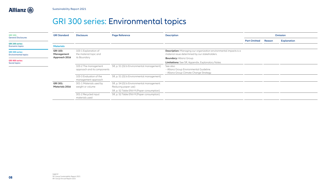<span id="page-8-0"></span>

# GRI 300 series: Environmental topics

| <b>GRI 102:</b><br><b>General Disclosures</b>         | <b>GRI Standard</b>                      | <b>Disclosure</b>                                   | <b>Page Reference</b>                                            | <b>Description</b>                                                                                                         |                     |        | Omission           |
|-------------------------------------------------------|------------------------------------------|-----------------------------------------------------|------------------------------------------------------------------|----------------------------------------------------------------------------------------------------------------------------|---------------------|--------|--------------------|
|                                                       |                                          |                                                     |                                                                  |                                                                                                                            | <b>Part Omitted</b> | Reason | <b>Explanation</b> |
| <b>GRI 200 series:</b><br><b>Economic topics</b>      | <b>Materials</b>                         |                                                     |                                                                  |                                                                                                                            |                     |        |                    |
| <b>GRI 300 series:</b><br><b>Environmental topics</b> | <b>GRI 103:</b><br>Management            | 103-1 Explanation of<br>the material topic and      |                                                                  | <b>Description:</b> Managing our organization environmental impacts is a<br>material issue determined by our stakeholders. |                     |        |                    |
| <b>GRI 400 series:</b>                                | Approach 2016                            | its Boundary                                        |                                                                  | <b>Boundary: Allianz Group.</b>                                                                                            |                     |        |                    |
| Social topics                                         |                                          |                                                     |                                                                  | <b>Limitations:</b> See SR, Appendix, Explanatory Notes.                                                                   |                     |        |                    |
|                                                       |                                          | 103-2 The management<br>approach and its components | SR, p. 51 (02.6 Environmental management)                        | See also:<br>- Allianz Group Environmental Guideline.<br>- Allianz Group Climate Change Strategy.                          |                     |        |                    |
|                                                       |                                          | 103-3 Evaluation of the<br>management approach      | SR, p. 51 (02.6 Environmental management)                        |                                                                                                                            |                     |        |                    |
|                                                       | <b>GRI 301:</b><br><b>Materials 2016</b> | 301-1 Materials used by<br>weight or volume         | SR, p. 54 (02.6 Environmental management:<br>Reducing paper use) |                                                                                                                            |                     |        |                    |
|                                                       |                                          |                                                     | SR, p. 52 Table ENV-9 (Paper consumption)                        |                                                                                                                            |                     |        |                    |
|                                                       |                                          | 301-2 Recycled input<br>materials used              | SR, p. 52 Table ENV-9 (Paper consumption)                        |                                                                                                                            |                     |        |                    |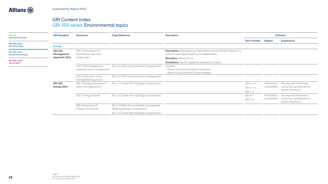| <b>GRI 102:</b><br><b>General Disclosures</b>         | <b>GRI Standard</b>            | <b>Disclosure</b>                                   | <b>Page Reference</b>                                                     | <b>Description</b>                                                                                                         |                                      |                            | Omission                                                                     |
|-------------------------------------------------------|--------------------------------|-----------------------------------------------------|---------------------------------------------------------------------------|----------------------------------------------------------------------------------------------------------------------------|--------------------------------------|----------------------------|------------------------------------------------------------------------------|
|                                                       |                                |                                                     |                                                                           |                                                                                                                            | <b>Part Omitted</b>                  | Reason                     | <b>Explanation</b>                                                           |
| <b>GRI 200 series:</b><br>Economic topics             | <b>Energy</b>                  |                                                     |                                                                           |                                                                                                                            |                                      |                            |                                                                              |
| <b>GRI 300 series:</b><br><b>Environmental topics</b> | <b>GRI 103:</b><br>Management  | 103-1 Explanation of<br>the material topic and      |                                                                           | <b>Description:</b> Managing our organization environmental impacts is a<br>material issue determined by our stakeholders. |                                      |                            |                                                                              |
|                                                       | Approach 2016                  | its Boundary                                        |                                                                           | <b>Boundary: Allianz Group.</b>                                                                                            |                                      |                            |                                                                              |
| <b>GRI 400 series:</b><br>Social topics               |                                |                                                     |                                                                           | Limitations: See SR, Appendix, Explanatory Notes.                                                                          |                                      |                            |                                                                              |
|                                                       |                                | 103-2 The management<br>approach and its components | SR, p. 51 (02.6 Environmental management)                                 | See also:<br>- Allianz Group Environmental Guideline.<br>- Allianz Group Climate Change Strategy                           |                                      |                            |                                                                              |
|                                                       |                                | 103-3 Evaluation of the<br>management approach      | SR, p. 51 (02.6 Environmental management)                                 |                                                                                                                            |                                      |                            |                                                                              |
|                                                       | <b>GRI 302:</b><br>Energy 2016 | 302-1 Energy consumption<br>within the organization | SR, p. 51 Table ENV-3 (Energy consumption)                                |                                                                                                                            | 302-1-c-iii<br>302-1-c-iv<br>302-1-d | Information<br>unavailable | The required information<br>cannot be reported due to<br>system limitations. |
|                                                       |                                | 302-3 Energy intensity                              | SR, p. 51 Table ENV-3 (Energy consumption)                                |                                                                                                                            | $302 - 3 - c$<br>302-3-d             | Information<br>unavailable | The required information<br>cannot be reported due to<br>system limitations. |
|                                                       |                                | 302-4 Reduction of<br>energy consumption            | SR, p. 53 (02.6 Environmental management:<br>Reducing energy consumption) |                                                                                                                            |                                      |                            |                                                                              |
|                                                       |                                |                                                     | SR, p. 51 Table ENV-3 (Energy consumption)                                |                                                                                                                            |                                      |                            |                                                                              |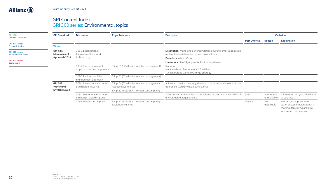| <b>GRI 102:</b><br><b>General Disclosures</b>         | <b>GRI Standard</b>                 | <b>Disclosure</b>                                      | <b>Page Reference</b>                                                  | <b>Description</b>                                                                                                         |                     |                            | Omission                                                                                                               |
|-------------------------------------------------------|-------------------------------------|--------------------------------------------------------|------------------------------------------------------------------------|----------------------------------------------------------------------------------------------------------------------------|---------------------|----------------------------|------------------------------------------------------------------------------------------------------------------------|
|                                                       |                                     |                                                        |                                                                        |                                                                                                                            | <b>Part Omitted</b> | Reason                     | <b>Explanation</b>                                                                                                     |
| <b>GRI 200 series:</b><br><b>Economic topics</b>      | <b>Water</b>                        |                                                        |                                                                        |                                                                                                                            |                     |                            |                                                                                                                        |
| <b>GRI 300 series:</b><br><b>Environmental topics</b> | <b>GRI 103:</b><br>Management       | 103-1 Explanation of<br>the material topic and         |                                                                        | <b>Description:</b> Managing our organization environmental impacts is a<br>material issue determined by our stakeholders. |                     |                            |                                                                                                                        |
|                                                       | Approach 2016                       | its Boundary                                           |                                                                        | <b>Boundary: Allianz Group.</b>                                                                                            |                     |                            |                                                                                                                        |
| <b>GRI 400 series:</b><br>Social topics               |                                     |                                                        |                                                                        | Limitations: See SR, Appendix, Explanatory Notes.                                                                          |                     |                            |                                                                                                                        |
|                                                       |                                     | 103-2 The management<br>approach and its components    | SR, p. 51 (02.6 Environmental management)                              | See also:<br>- Allianz Group Environmental Guideline<br>- Allianz Group Climate Change Strategy                            |                     |                            |                                                                                                                        |
|                                                       |                                     | 103-3 Evaluation of the<br>management approach         | SR, p. 51 (02.6 Environmental management)                              |                                                                                                                            |                     |                            |                                                                                                                        |
|                                                       | <b>GRI 303:</b><br><b>Water and</b> | 303-1 Interactions with water<br>as a shared resource  | SR, p. 54 (02.6 Environmental management:<br>Reducing water use)       | Allianz is a service company, thus our main water use is related to our<br>operations (sanitary use, kitchens, etc.).      |                     |                            |                                                                                                                        |
|                                                       | <b>Effluents 2018</b>               |                                                        | SR, p. 52 Table ENV-7 (Water consumption)                              |                                                                                                                            |                     |                            |                                                                                                                        |
|                                                       |                                     | 303-2 Management of water<br>discharge-related impacts |                                                                        | Local entities manage their water related discharge in line with local<br>environmental requirements.                      | $303 - 2$           | Information<br>unavailable | Information not yet collected at<br>Group-level.                                                                       |
|                                                       |                                     | 303-5 Water consumption                                | SR, p. 52 Table ENV-7 (Water consumption),<br><b>Explanatory Notes</b> |                                                                                                                            | $303 - 5 - c$       | Not<br>applicable          | Water consumption from<br>water stressed regions is not a<br>material topic at Allianz as a<br>service sector company. |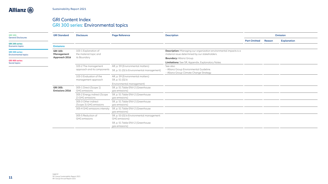| <b>GRI 102:</b><br><b>General Disclosures</b>         | <b>GRI Standard</b>                      | <b>Disclosure</b>                                   | <b>Page Reference</b>                                                          | <b>Description</b>                                                                                                         |                     |        | Omission           |
|-------------------------------------------------------|------------------------------------------|-----------------------------------------------------|--------------------------------------------------------------------------------|----------------------------------------------------------------------------------------------------------------------------|---------------------|--------|--------------------|
|                                                       |                                          |                                                     |                                                                                |                                                                                                                            | <b>Part Omitted</b> | Reason | <b>Explanation</b> |
| <b>GRI 200 series:</b><br><b>Economic topics</b>      | <b>Emissions</b>                         |                                                     |                                                                                |                                                                                                                            |                     |        |                    |
| <b>GRI 300 series:</b><br><b>Environmental topics</b> | <b>GRI 103:</b><br>Management            | 103-1 Explanation of<br>the material topic and      |                                                                                | <b>Description:</b> Managing our organization environmental impacts is a<br>material issue determined by our stakeholders. |                     |        |                    |
| <b>GRI 400 series:</b>                                | Approach 2016                            | its Boundary                                        |                                                                                | <b>Boundary: Allianz Group.</b>                                                                                            |                     |        |                    |
| Social topics                                         |                                          |                                                     |                                                                                | <b>Limitations:</b> See SR, Appendix, Explanatory Notes.                                                                   |                     |        |                    |
|                                                       |                                          | 103-2 The management<br>approach and its components | AR, p. 59 (Environmental matters)<br>SR, p. 51 (02.6 Environmental management) | See also:<br>- Allianz Group Environmental Guideline.<br>- Allianz Group Climate Change Strategy.                          |                     |        |                    |
|                                                       |                                          | 103-3 Evaluation of the<br>management approach      | AR, p. 59 (Environmental matters)<br>SR, p. 51 (02.6)                          |                                                                                                                            |                     |        |                    |
|                                                       |                                          |                                                     | Environmental management)                                                      |                                                                                                                            |                     |        |                    |
|                                                       | <b>GRI 305:</b><br><b>Emissions 2016</b> | 305-1 Direct (Scope 1)<br><b>GHG</b> emissions      | SR, p. 51 Table ENV-2 (Greenhouse<br>gas emissions)                            |                                                                                                                            |                     |        |                    |
|                                                       |                                          | 305-2 Energy indirect (Scope<br>2) GHG emissions    | SR, p. 51 Table ENV-2 (Greenhouse<br>gas emissions)                            |                                                                                                                            |                     |        |                    |
|                                                       |                                          | 305-3 Other indirect<br>(Scope 3) GHG emissions     | SR, p. 51 Table ENV-2 (Greenhouse<br>gas emissions)                            |                                                                                                                            |                     |        |                    |
|                                                       |                                          | 305-4 GHG emissions intensity                       | SR, p. 51 Table ENV-2 (Greenhouse<br>gas emissions)                            |                                                                                                                            |                     |        |                    |
|                                                       |                                          | 305-5 Reduction of<br><b>GHG</b> emissions          | SR, p. 53 (02.6 Environmental management:<br>GHG emissions)                    |                                                                                                                            |                     |        |                    |
|                                                       |                                          |                                                     | SR, p. 51 Table ENV-2 (Greenhouse<br>gas emissions)                            |                                                                                                                            |                     |        |                    |
|                                                       |                                          |                                                     |                                                                                |                                                                                                                            |                     |        |                    |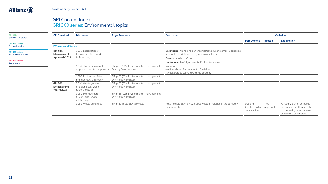| <b>GRI 102:</b><br><b>General Disclosures</b>         | <b>GRI Standard</b>                                          | <b>Disclosure</b>                                                   | <b>Page Reference</b>                                            | <b>Description</b>                                                                                                         |                                        |                   | <b>Omission</b>                                                                                                   |
|-------------------------------------------------------|--------------------------------------------------------------|---------------------------------------------------------------------|------------------------------------------------------------------|----------------------------------------------------------------------------------------------------------------------------|----------------------------------------|-------------------|-------------------------------------------------------------------------------------------------------------------|
|                                                       |                                                              |                                                                     |                                                                  |                                                                                                                            | <b>Part Omitted</b>                    | Reason            | <b>Explanation</b>                                                                                                |
| <b>GRI 200 series:</b><br>Economic topics             | <b>Effluents and Waste</b>                                   |                                                                     |                                                                  |                                                                                                                            |                                        |                   |                                                                                                                   |
| <b>GRI 300 series:</b><br><b>Environmental topics</b> | <b>GRI 103:</b><br>Management                                | 103-1 Explanation of<br>the material topic and                      |                                                                  | <b>Description:</b> Managing our organization environmental impacts is a<br>material issue determined by our stakeholders. |                                        |                   |                                                                                                                   |
|                                                       | Approach 2016                                                | its Boundary                                                        |                                                                  | <b>Boundary: Allianz Group.</b>                                                                                            |                                        |                   |                                                                                                                   |
| <b>GRI 400 series:</b><br>Social topics               |                                                              |                                                                     |                                                                  | Limitations: See SR, Appendix, Explanatory Notes.                                                                          |                                        |                   |                                                                                                                   |
|                                                       |                                                              | 103-2 The management<br>approach and its components                 | SR, p. 55 (02.6 Environmental management:<br>Driving Down Waste) | See also:<br>- Allianz Group Environmental Guideline.<br>- Allianz Group Climate Change Strategy.                          |                                        |                   |                                                                                                                   |
|                                                       |                                                              | 103-3 Evaluation of the<br>management approach                      | SR, p. 55 (02.6 Environmental management:<br>Driving down waste) |                                                                                                                            |                                        |                   |                                                                                                                   |
|                                                       | <b>GRI 306:</b><br><b>Effluents and</b><br><b>Waste 2020</b> | 306-1 Waste generation<br>and significant waste-<br>related impacts | SR, p. 55 (02.6 Environmental management:<br>Driving down waste) |                                                                                                                            |                                        |                   |                                                                                                                   |
|                                                       |                                                              | 306-2 Management<br>of significant waste-<br>related impacts        | SR, p. 55 (02.6 Environmental management:<br>Driving down waste) |                                                                                                                            |                                        |                   |                                                                                                                   |
|                                                       |                                                              | 306-3 Waste generated                                               | SR, p. 52 Table ENV-8 (Waste)                                    | Note to table ENV-8: Hazardous waste is included in the category<br>special waste.                                         | 306-3-a<br>breakdown by<br>composition | Not<br>applicable | At Allianz our office-based<br>operations mostly generate<br>household-type waste as a<br>service sector company. |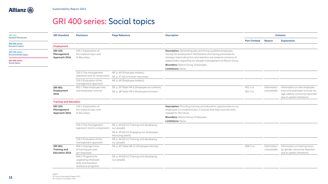<span id="page-13-0"></span>

# GRI 400 series: Social topics

| <b>GRI 102:</b><br><b>General Disclosures</b>         | <b>GRI Standard</b>                                             | <b>Disclosure</b>                                                                        | <b>Page Reference</b>                                           | <b>Description</b>                                                                                                                                                                                      |                     |                            | Omission                                                                                       |
|-------------------------------------------------------|-----------------------------------------------------------------|------------------------------------------------------------------------------------------|-----------------------------------------------------------------|---------------------------------------------------------------------------------------------------------------------------------------------------------------------------------------------------------|---------------------|----------------------------|------------------------------------------------------------------------------------------------|
|                                                       |                                                                 |                                                                                          |                                                                 |                                                                                                                                                                                                         | <b>Part Omitted</b> | Reason                     | <b>Explanation</b>                                                                             |
| <b>GRI 200 series:</b><br><b>Economic topics</b>      | <b>Employment</b>                                               |                                                                                          |                                                                 |                                                                                                                                                                                                         |                     |                            |                                                                                                |
| <b>GRI 300 series:</b><br><b>Environmental topics</b> | <b>GRI 103:</b><br>Management<br>Approach 2016                  | 103-1 Explanation of<br>the material topic and<br>its Boundary                           |                                                                 | <b>Description:</b> Generating jobs and hiring qualified employees,<br>having fair employment mechanisms and having processes for<br>strategic talent attraction and retention are material concerns of |                     |                            |                                                                                                |
| <b>GRI 400 series:</b><br>Social topics               |                                                                 |                                                                                          |                                                                 | stakeholders regarding our people management at Allianz Group.                                                                                                                                          |                     |                            |                                                                                                |
|                                                       |                                                                 |                                                                                          |                                                                 | <b>Boundary: Allianz Group, Employees.</b>                                                                                                                                                              |                     |                            |                                                                                                |
|                                                       |                                                                 |                                                                                          |                                                                 | <b>Limitations: None.</b>                                                                                                                                                                               |                     |                            |                                                                                                |
|                                                       |                                                                 | 103-2 The management                                                                     | AR, p. 69 (Employee matters)                                    |                                                                                                                                                                                                         |                     |                            |                                                                                                |
|                                                       |                                                                 | approach and its components                                                              | SR, p. 37 (02.4 Human resources)                                |                                                                                                                                                                                                         |                     |                            |                                                                                                |
|                                                       |                                                                 | 103-3 Evaluation of the<br>management approach                                           | AR, p. 69 (Employee matters)                                    |                                                                                                                                                                                                         |                     |                            |                                                                                                |
|                                                       | <b>GRI 401:</b>                                                 | 401-1 New employee hires                                                                 | SR, p. 39 Table HR-6 (Employee recruitment)                     |                                                                                                                                                                                                         | $401 - 1 - a$       | Information                | Information on new employee                                                                    |
|                                                       | Employment<br>2016                                              | and employee turnover                                                                    | SR, p. 38 Table HR-5 (Employee turnover)                        |                                                                                                                                                                                                         | $401 - 1 - b$       | unavailable                | hires and employee turnover by<br>age cateory cannot be reported<br>due to system limitations. |
|                                                       | <b>Training and Education</b>                                   |                                                                                          |                                                                 |                                                                                                                                                                                                         |                     |                            |                                                                                                |
|                                                       | <b>GRI 103:</b><br>Management<br>Approach 2016                  | 103-1 Explanation of<br>the material topic and<br>its Boundary                           |                                                                 | <b>Description:</b> Providing training and education opportunities to our<br>employees is a material topic. It ensures that they have the skills<br>needed for the future.                              |                     |                            |                                                                                                |
|                                                       |                                                                 |                                                                                          |                                                                 | <b>Boundary: Allianz Group, Employees</b>                                                                                                                                                               |                     |                            |                                                                                                |
|                                                       |                                                                 |                                                                                          |                                                                 | <b>Limitations: None.</b>                                                                                                                                                                               |                     |                            |                                                                                                |
|                                                       |                                                                 | 103-2 The management<br>approach and its components our people)                          | SR, p. 44 (02.4.2 Training and developing                       |                                                                                                                                                                                                         |                     |                            |                                                                                                |
|                                                       |                                                                 |                                                                                          | SR, p. 45 (02.4.3 Engaging our employees:<br>Attracting talent) |                                                                                                                                                                                                         |                     |                            |                                                                                                |
|                                                       |                                                                 | 103-3 Evaluation of the<br>management approach                                           | SR, p. 44 (02.4.2 Training and developing<br>our people)        |                                                                                                                                                                                                         |                     |                            |                                                                                                |
|                                                       | <b>GRI 401:</b><br><b>Training and</b><br><b>Education 2016</b> | 404-1 Average hours<br>of training per year<br>per employee                              | SR, p. 40 Table HR-11 (Employee training)                       |                                                                                                                                                                                                         | $404 - 1 - a - i$   | Information<br>unavailable | Information on training hours<br>by gender cannot be reported<br>due to system limitations.    |
|                                                       |                                                                 | 404-2 Programs for<br>upgrading employee<br>skills and transition<br>assistance programs | SR, p. 44 (02.4.2 Training and developing<br>our people)        |                                                                                                                                                                                                         |                     |                            |                                                                                                |
|                                                       |                                                                 |                                                                                          |                                                                 |                                                                                                                                                                                                         |                     |                            |                                                                                                |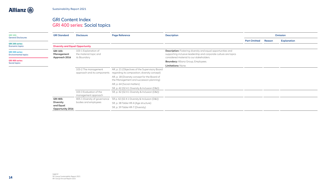| <b>GRI 102:</b><br><b>General Disclosures</b><br><b>GRI 200 series:</b><br><b>Economic topics</b> | <b>GRI Standard</b>                            | <b>Disclosure</b>                                              | <b>Page Reference</b>                                                                           | <b>Description</b>                                                                                                                                                                  | Omission            |        |                    |
|---------------------------------------------------------------------------------------------------|------------------------------------------------|----------------------------------------------------------------|-------------------------------------------------------------------------------------------------|-------------------------------------------------------------------------------------------------------------------------------------------------------------------------------------|---------------------|--------|--------------------|
|                                                                                                   |                                                |                                                                |                                                                                                 |                                                                                                                                                                                     | <b>Part Omitted</b> | Reason | <b>Explanation</b> |
|                                                                                                   | <b>Diversity and Equal Opportunity</b>         |                                                                |                                                                                                 |                                                                                                                                                                                     |                     |        |                    |
| <b>GRI 300 series:</b><br><b>Environmental topics</b>                                             | <b>GRI 103:</b><br>Management<br>Approach 2016 | 103-1 Explanation of<br>the material topic and<br>its Boundary |                                                                                                 | <b>Description:</b> Fostering diversity and equal opportunities and<br>supporting inclusive leadership and corporate culture are topics<br>considered material to our stakeholders. |                     |        |                    |
| <b>GRI 400 series:</b><br>Social topics                                                           |                                                |                                                                |                                                                                                 | <b>Boundary:</b> Allianz Group, Employees.                                                                                                                                          |                     |        |                    |
|                                                                                                   |                                                |                                                                |                                                                                                 | <b>Limitations: None.</b>                                                                                                                                                           |                     |        |                    |
|                                                                                                   |                                                | 103-2 The management<br>approach and its components            | AR, p. 21 (Objectives of the Supervisory Board<br>regarding its composition; diversity concept) |                                                                                                                                                                                     |                     |        |                    |
|                                                                                                   |                                                |                                                                | AR, p. 18 (Diversity concept for the Board of<br>the Management and succession planning)        |                                                                                                                                                                                     |                     |        |                    |
|                                                                                                   |                                                |                                                                | AR, p. 64 (Social matters)                                                                      |                                                                                                                                                                                     |                     |        |                    |
|                                                                                                   |                                                |                                                                | SR, p. 42 (02.4.1 Diversity & Inclusion (D&I))                                                  |                                                                                                                                                                                     |                     |        |                    |
|                                                                                                   |                                                | 103-3 Evaluation of the<br>management approach                 | SR, p. 42 (02.4.1 Diversity & Inclusion (D&I))                                                  |                                                                                                                                                                                     |                     |        |                    |
|                                                                                                   | <b>GRI 405:</b>                                | 405-1 Diversity of governance                                  | SR p. 42 (02.4.1 Diversity & Inclusion (D&I))                                                   |                                                                                                                                                                                     |                     |        |                    |
|                                                                                                   | <b>Diversity</b>                               | bodies and employees                                           | SR, p. 38 Table HR-4 (Age structure)                                                            |                                                                                                                                                                                     |                     |        |                    |
|                                                                                                   | and Equal<br><b>Opportunity 2016</b>           |                                                                | SR, p. 39 Table HR-7 (Diversity)                                                                |                                                                                                                                                                                     |                     |        |                    |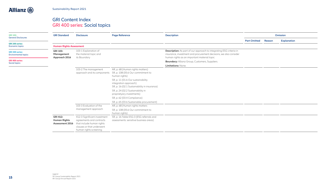| <b>GRI 102:</b><br><b>General Disclosures</b><br><b>GRI 200 series:</b><br><b>Economic topics</b> | <b>GRI Standard</b>                                              | <b>Disclosure</b>                                                                                                                            | <b>Page Reference</b>                                                                                       | <b>Description</b>                                                                                                                                                                              | Omission            |        |                    |
|---------------------------------------------------------------------------------------------------|------------------------------------------------------------------|----------------------------------------------------------------------------------------------------------------------------------------------|-------------------------------------------------------------------------------------------------------------|-------------------------------------------------------------------------------------------------------------------------------------------------------------------------------------------------|---------------------|--------|--------------------|
|                                                                                                   |                                                                  |                                                                                                                                              |                                                                                                             |                                                                                                                                                                                                 | <b>Part Omitted</b> | Reason | <b>Explanation</b> |
|                                                                                                   | <b>Human Rights Assessment</b>                                   |                                                                                                                                              |                                                                                                             |                                                                                                                                                                                                 |                     |        |                    |
| <b>GRI 300 series:</b><br><b>Environmental topics</b>                                             | <b>GRI 103:</b><br>Management<br>Approach 2016                   | 103-1 Explanation of<br>the material topic and<br>its Boundary                                                                               |                                                                                                             | <b>Description:</b> As part of our approach to integrating ESG criteria in<br>insurance, investment and procurement decisions, we also consider<br>human rights as an important material topic. |                     |        |                    |
| <b>GRI 400 series:</b>                                                                            |                                                                  |                                                                                                                                              |                                                                                                             | <b>Boundary:</b> Allianz Group, Customers, Suppliers.                                                                                                                                           |                     |        |                    |
| Social topics                                                                                     |                                                                  |                                                                                                                                              |                                                                                                             | <b>Limitations: None.</b>                                                                                                                                                                       |                     |        |                    |
|                                                                                                   |                                                                  | 103-2 The management<br>approach and its components                                                                                          | AR, p. 68 (Human rights matters)<br>SR, p. 108 (05.6 Our commitment to<br>human rights)                     |                                                                                                                                                                                                 |                     |        |                    |
|                                                                                                   |                                                                  |                                                                                                                                              | SR, p. 11 (01.6 Our sustainability<br>integration approach)<br>SR, p. 16 (02.1 Sustainability in insurance) |                                                                                                                                                                                                 |                     |        |                    |
|                                                                                                   |                                                                  |                                                                                                                                              | SR, p. 24 (02.2 Sustainability in<br>proprietyary investments)                                              |                                                                                                                                                                                                 |                     |        |                    |
|                                                                                                   |                                                                  |                                                                                                                                              | SR, p. 62 (03.4 Compliance)                                                                                 |                                                                                                                                                                                                 |                     |        |                    |
|                                                                                                   |                                                                  |                                                                                                                                              | SR, p. 65 (03.6 Sustainable procurement)                                                                    |                                                                                                                                                                                                 |                     |        |                    |
|                                                                                                   |                                                                  | 103-3 Evaluation of the                                                                                                                      | AR, p. 68 (Human rights matters                                                                             |                                                                                                                                                                                                 |                     |        |                    |
|                                                                                                   |                                                                  | management approach                                                                                                                          | SR, p. 108 (05.6 Our commitment to<br>human rights)                                                         |                                                                                                                                                                                                 |                     |        |                    |
|                                                                                                   | <b>GRI 412:</b><br><b>Human Rights</b><br><b>Assessment 2016</b> | 412-3 Significant investment<br>agreements and contracts<br>that include human rights<br>clauses or that underwent<br>human rights screening | SR, p. 16 Table ESG-3 (ESG referrals and<br>assessments: sensitive business areas)                          |                                                                                                                                                                                                 |                     |        |                    |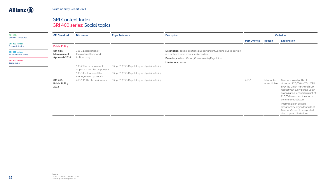

| <b>GRI Standard</b>                             | <b>Disclosure</b>                              | <b>Page Reference</b>                          | <b>Description</b>                                                                                                        | Omission            |        |                                                                                                                                                                                                                                                                                                                                |
|-------------------------------------------------|------------------------------------------------|------------------------------------------------|---------------------------------------------------------------------------------------------------------------------------|---------------------|--------|--------------------------------------------------------------------------------------------------------------------------------------------------------------------------------------------------------------------------------------------------------------------------------------------------------------------------------|
|                                                 |                                                |                                                |                                                                                                                           | <b>Part Omitted</b> | Reason | <b>Explanation</b>                                                                                                                                                                                                                                                                                                             |
| <b>Public Policy</b>                            |                                                |                                                |                                                                                                                           |                     |        |                                                                                                                                                                                                                                                                                                                                |
| <b>GRI 103:</b><br>Management                   | 103-1 Explanation of<br>the material topic and |                                                | <b>Description:</b> Taking positions publicly and influencing public opinion<br>is a material topic for our stakeholders. |                     |        |                                                                                                                                                                                                                                                                                                                                |
|                                                 |                                                |                                                | <b>Boundary:</b> Allianz Group, Governments/Regulators.                                                                   |                     |        |                                                                                                                                                                                                                                                                                                                                |
|                                                 |                                                |                                                | <b>Limitations: None.</b>                                                                                                 |                     |        |                                                                                                                                                                                                                                                                                                                                |
|                                                 | 103-2 The management                           | SR, p. 61 (03.3 Regulatory and public affairs) |                                                                                                                           |                     |        |                                                                                                                                                                                                                                                                                                                                |
|                                                 | 103-3 Evaluation of the<br>management approach | SR, p. 61 (03.3 Regulatory and public affairs) |                                                                                                                           |                     |        |                                                                                                                                                                                                                                                                                                                                |
| <b>GRI 415:</b><br><b>Public Policy</b><br>2016 | 415-1 Political contributions                  | SR, p. 61 (03.3 Regulatory and public affairs) |                                                                                                                           | 415-1               |        | German-based political<br>donation: €20,000 to CDU, CSU,<br>SPD, the Green Party and FDP,<br>respectively. Every party's youth<br>organization received a grant of<br>€10,000 to support their focus<br>on future social issues.<br>Information on political<br>donations by region (outside of<br>Germany) cannot be reported |
|                                                 | <b>Approach 2016</b>                           | its Boundary                                   | approach and its components                                                                                               |                     |        | Information<br>unavailable                                                                                                                                                                                                                                                                                                     |